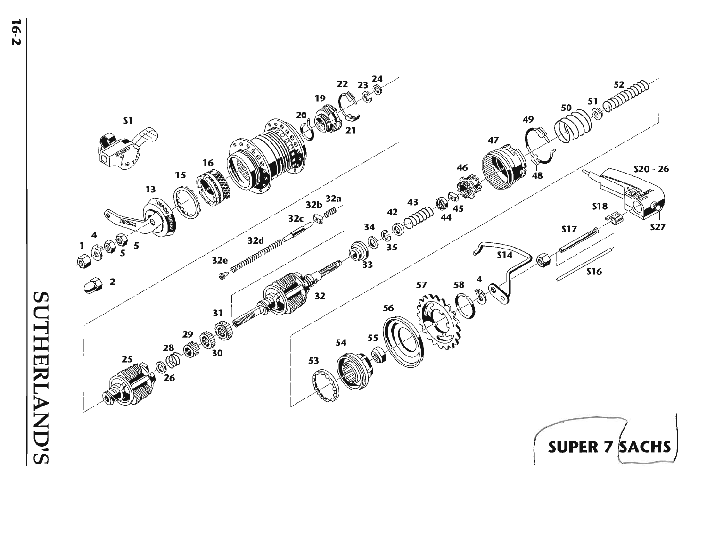

SUTHERLAND'S

 $16-2$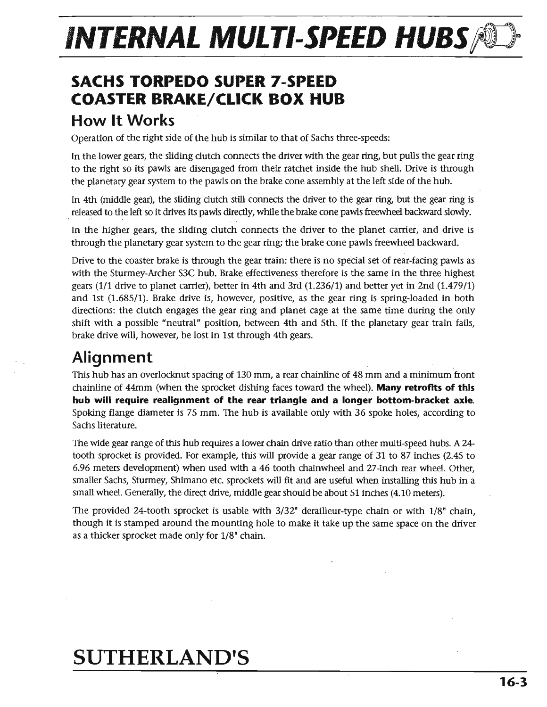### **SACHS TORPEDO SUPER 7-SPEED COASTER BRAKE/CLICK BOX HUB**

#### **How It Works**

Operation of the right side of the hub is similar to that of Sachs three-speeds:

In the lower gears, the sliding dutch connects the driver with the gear ring, but pulls the gear ring to the right so its pawls are disengaged from their ratchet inside the hub shell. Drive is through the planetary gear system to the pawls on the brake cone assembly at the left side of the hub.

In 4th (middle gear), the sliding dutch still connects the driver to the gear ring, but the gear ring is released to the left so it drives its pawls directly, while the brake cone pawls freewheel backward slowly.

In the higher gears, the sliding clutch connects the driver to the planet carrier, and drive is through the planetary gear system to the gear ring; the brake cone pawls freewheel backward.

Drive to the coaster brake is through the gear train: there is no special set of rear-facing pawls as with the Sturmey-Archer S3C hub. Brake effectiveness therefore is the same in the three highest gears (1/1 drive to planet carrier), better in 4th and 3rd (1.236/1) and better yet in 2nd (1.479/1) and 1st (1.68511). Brake drive is, however, positive, as the gear ring is spring-loaded in both directions: the clutch engages the gear ring and planet cage at the same time during the only shift with a possible "neutral" position, between 4th and 5th. If the planetary gear train fails, brake drive will, however, be lost in 1st through 4th gears.

### **Alignment**

This hub has an overlocknut spacing of 130 mm, a rear chainline of 48 mm and a minimum front chainline of 44mm (when the sprocket dishing faces toward the wheel). **Many retrofits of this hub will require realignment of the rear triangle and a longer bottom-bracket axle.**  Spoking flange diameter is 75 mm. The hub is available only with 36 spoke holes, according to Sachs literature.

The wide gear range of this hub requires a lower chain drive ratio than other multi-speed hubs. A 24 tooth sprocket is provided. For example, this will provide a gear range of 31 to 87 inches (2.45 to 6.96 meters development) when used with a 46 tooth chainwheel and 27 -inch rear wheel. Other, smaller Sachs, Sturmey, Shimano etc. sprockets will fit and are useful when installing this hub in a small wheel. Generally, the direct drive, middle gear should be about 51 inches (4.10 meters).

The provided 24-tooth sprocket is usable with 3/32" derailleur-type chain or with 1/8" chain, though it is stamped around the mounting hole to make it take up the same space on the driver as a thicker sprocket made only for 1/8" chain.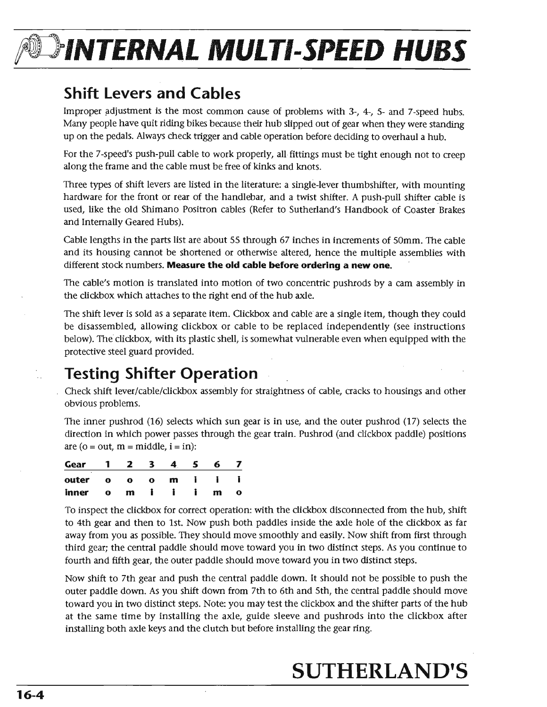### **Shift Levers and Cables**

Improper adjustment is the most common cause of problems with 3-, 4-, 5- and 7-speed hubs. Many people have quit riding bikes because their hub slipped out of gear when they were standing up on the pedals. Always check trigger and cable operation before dedding to overhaul a hub.

For the 7 -speed's push-pull cable to work properly, all fittings must be tight enough not to creep along the frame and the cable must be free of kinks and knots.

Three types of shift levers are listed in the literature: a single-lever thumbshifter, with mounting hardware for the front or rear of the handlebar, and a twist shifter. A push-pull shifter cable is used, like the old Shimano Positron cables (Refer to Sutherland's Handbook of Coaster Brakes and Internally Geared Hubs).

Cable lengths in the parts list are about 55 through 67 inches in increments of 50mm. The cable and its housing cannot be shortened or otherwise altered, hence the multiple assemblies with different stock numbers. **Measure the old cable before ordering a new one.** 

The cable's motion is translated into motion of two concentric pushrods by a cam assembly in the clickbox which attaches to the right end of the hub axle.

The shift lever is sold as a separate item. Clickbox and cable are a single item, though they could be disassembled, allowing clickbox or cable to be replaced independently (see instructions below). The clickbox, with its plastic shell, is somewhat vulnerable even when equipped with the protective steel guard provided.

### **Testing Shifter Operation**

Check shift lever/cable/clickbox assembly for straightness of cable, cracks to housings and other obvious problems.

The inner pushrod (16) selects which sun gear is in use, and the outer pushrod (17) selects the direction in which power passes through the gear train. Pushrod (and clickbox paddle) positions

| are ( $o = out$ , $m = middle$ , $i = in$ ): |              |                     |          |                |    |   |  |  |  |
|----------------------------------------------|--------------|---------------------|----------|----------------|----|---|--|--|--|
| Gear                                         |              | $1 \quad 2 \quad 3$ |          | 4              | -5 |   |  |  |  |
| outer                                        | $\Omega$     | $\bullet$           | $\Omega$ | m              |    |   |  |  |  |
| inner                                        | $\mathbf{o}$ | m                   |          | $\mathbf{I}$ i |    | m |  |  |  |

To inspect the clickbox for correct operation: with the clickbox disconnected from the hub, shift to 4th gear and then to *1st.* Now push both paddles inside the axle hole of the clickbox as far away from you as possible. They should move smoothly and easily. Now shift from first through third gear; the central paddle should move toward you in two distinct steps. As you continue to fourth and fifth gear, the outer paddle should move toward you in two distinct steps.

Now shift to 7th gear and push the central paddle down. It should not be possible to push the outer paddle down. As you shift down from 7th to 6th and 5th, the central paddle should move toward you in two distinct steps. Note: you may test the clickbox and the shifter parts of the hub at the same time by installing the axle, guide sleeve and pushrods into the clickbox after installing both axle keys and the clutch but before installing the gear ring.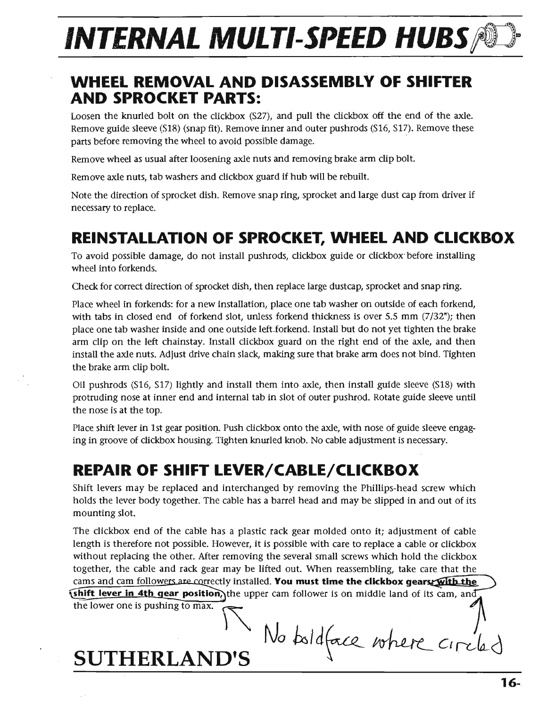#### **WHEEL REMOVAL AND DISASSEMBLY OF SHIFTER AND SPROCKET PARTS:**

Loosen the knurled bolt on the clickbox (S27), and pull the clickbox off the end of the axle. Remove guide sleeve (SIS) (snap fit). Remove inner and outer pushrods (S16, S17). Remove these parts before removing the wheel to avoid possible damage.

Remove wheel as usual after loosening axle nuts and removing brake arm clip bolt.

Remove axle nuts, tab washers and clickbox guard if hub will be rebuilt.

Note the direction of sprocket dish. Remove snap ring, sprocket and large dust cap from driver if necessary to replace.

#### **REINSTALLATION OF SPROCKET, WHEEL AND CLICKBOX**

To avoid possible damage, do not install pushrods, clickbox guide or clickbox' before installing wheel into forkends.

Check for correct direction of sprocket dish, then replace large dust cap, sprocket and snap ring.

Place wheel in forkends: for a new installation, place one tab washer on outside of each forkend, with tabs in closed end of forkend slot, unless forkend thickness is over 5.5 mm (7/32"); then place one tab washer inside and one outside left.forkend. Install but do not yet tighten the brake arm clip on the left chainstay. Install clickbox guard on the right end of the axle, and then install the axle nuts. Adjust drive chain slack, making sure that brake arm does not bind. Tighten the brake arm clip bolt.

Oil pushrods (S16, S17) lightly and install them into axle, then install guide sleeve (S18) with protruding nose at inner end and internal tab in slot of outer pushrod. Rotate guide sleeve until the nose is at the top.

Place shift lever in 1st gear position. Push clickbox onto the axle, with nose of guide sleeve engaging in groove of clickbox housing. Tighten knurled knob. No cable adjustment is necessary.

### **REPAIR OF SHIFT LEVER/CABLE/CLICKBOX**

Shift levers may be replaced and interchanged by removing the Phillips-head screw which holds the lever body together. The cable has a barrel head and may be slipped in and out of its mounting slot.

The clickbox end of the cable has a plastic rack gear molded onto it; adjustment of cable length is therefore not possible. However, it is possible with care to replace a cable or clickbox without replacing the other. After removing the several small screws which hold the clickbox together, the cable and rack gear may be lifted out. When reassembling, take care that the cams and cam followers are correctly installed. You must time the clickbox gears: with the **ishift lever in 4th gear position**, the upper cam follower is on middle land of its cam, and the lower one is pushing to max.

The lower one is pushing to max.<br>
SUTHERLAND'S No *b*s/d force where circled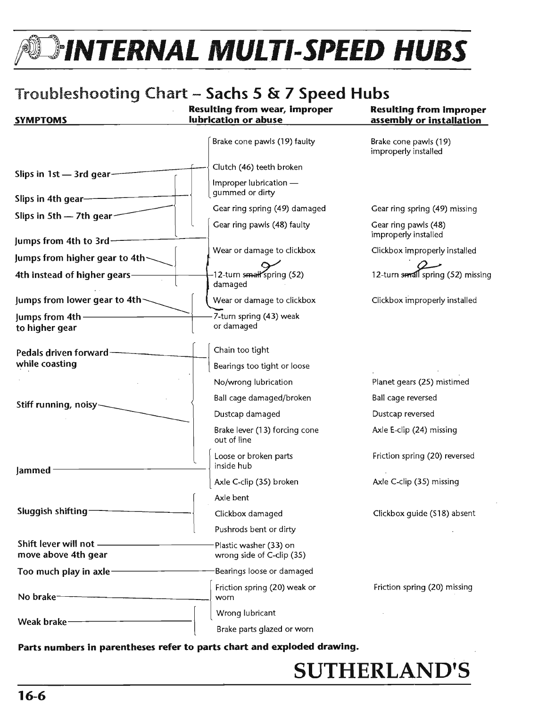### Troubleshooting Chart - Sachs 5 & 7 Speed Hubs

| <b>SYMPTOMS</b>                               | <b>Resulting from wear, improper</b><br>lubrication or abuse | <b>Resulting from improper</b><br>assembly or installation |
|-----------------------------------------------|--------------------------------------------------------------|------------------------------------------------------------|
|                                               | Brake cone pawls (19) faulty                                 | Brake cone pawls (19)<br>improperly installed              |
| Slips in $1st - 3rd$ gear-                    | Clutch (46) teeth broken                                     |                                                            |
|                                               | Improper lubrication -<br>gummed or dirty                    |                                                            |
| Slips in 4th gear-                            | Gear ring spring (49) damaged                                | Gear ring spring (49) missing                              |
| Slips in 5th - 7th gear-                      | Gear ring pawls (48) faulty                                  | Gear ring pawls (48)<br>improperly installed               |
| Jumps from 4th to 3rd-                        | Wear or damage to clickbox                                   | Clickbox improperly installed                              |
| Jumps from higher gear to 4th-                |                                                              |                                                            |
| 4th instead of higher gears-                  | 12-turn small spring (52)<br>damaged                         | 12-turn serall spring (52) missing                         |
| Jumps from lower gear to 4th-                 | Wear or damage to clickbox                                   | Clickbox improperly installed                              |
| Jumps from 4th-<br>to higher gear             | 7-turn spring (43) weak<br>or damaged                        |                                                            |
| Pedals driven forward                         | Chain too tight                                              |                                                            |
| while coasting                                | Bearings too tight or loose                                  |                                                            |
|                                               | No/wrong lubrication                                         | Planet gears (25) mistimed                                 |
| Stiff running, noisy-                         | Ball cage damaged/broken                                     | Ball cage reversed                                         |
|                                               | Dustcap damaged                                              | Dustcap reversed                                           |
|                                               | Brake lever (13) forcing cone<br>out of line                 | Axle E-clip (24) missing                                   |
| Jammed                                        | Loose or broken parts<br>inside hub                          | Friction spring (20) reversed                              |
|                                               | Axle C-clip (35) broken                                      | Axle C-clip (35) missing                                   |
|                                               | Axle bent                                                    |                                                            |
| Sluggish shifting-                            | Clickbox damaged                                             | Clickbox quide (\$18) absent                               |
|                                               | Pushrods bent or dirty                                       |                                                            |
| Shift lever will not -<br>move above 4th gear | Plastic washer (33) on<br>wrong side of C-clip (35)          |                                                            |
| Too much play in axle-                        | Bearings loose or damaged                                    |                                                            |
| No brake-                                     | Friction spring (20) weak or<br>worn                         | Friction spring (20) missing                               |
|                                               | Wrong lubricant                                              |                                                            |
| Weak brake-                                   | Brake parts glazed or worn                                   |                                                            |

Parts numbers in parentheses refer to parts chart and exploded drawing.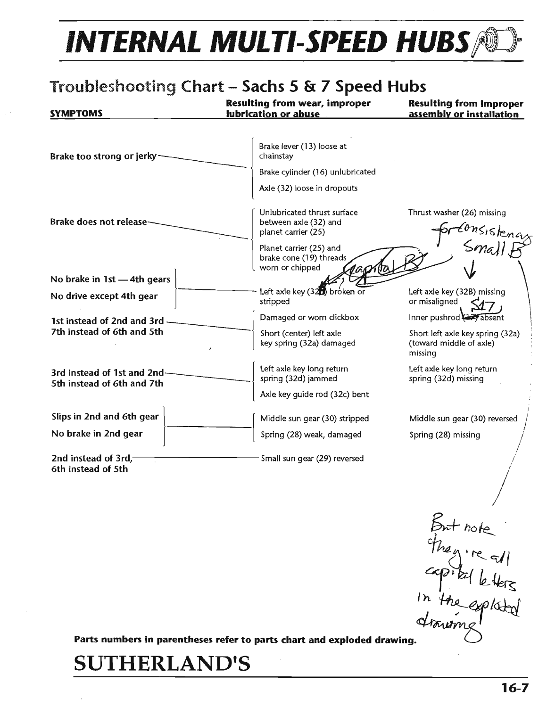Resulting from wear, Improper

### Troubleshooting Chart - Sachs 5 & 7 Speed Hubs

| <b>SYMPTOMS</b>                                           | <b>Resulting from wear, improper</b><br>lubrication or abuse                | <b>Resulting from improper</b><br>assembly or installation             |  |  |
|-----------------------------------------------------------|-----------------------------------------------------------------------------|------------------------------------------------------------------------|--|--|
| Brake too strong or jerky                                 | Brake lever (13) loose at<br>chainstay                                      |                                                                        |  |  |
|                                                           | Brake cylinder (16) unlubricated                                            |                                                                        |  |  |
|                                                           | Axle (32) loose in dropouts                                                 |                                                                        |  |  |
| <b>Brake does not release-</b>                            | Unlubricated thrust surface<br>between axle (32) and<br>planet carrier (25) | Thrust washer (26) missing<br>ir Consistency                           |  |  |
|                                                           | Planet carrier (25) and<br>brake cone (19) threads<br>worn or chipped       |                                                                        |  |  |
| No brake in 1st - 4th gears                               |                                                                             |                                                                        |  |  |
| No drive except 4th gear                                  | Left axle key (325) broken or<br>stripped                                   | Left axle key (32B) missing<br>or misaligned                           |  |  |
| 1st instead of 2nd and 3rd                                | Damaged or worn clickbox                                                    | Inner pushrod 22 absent                                                |  |  |
| 7th instead of 6th and 5th                                | Short (center) left axle<br>key spring (32a) damaged                        | Short left axle key spring (32a)<br>(toward middle of axle)<br>missing |  |  |
| 3rd instead of 1st and 2nd-<br>5th instead of 6th and 7th | Left axle key long return<br>spring (32d) jammed                            | Left axle key long return<br>spring (32d) missing                      |  |  |
|                                                           | Axle key guide rod (32c) bent                                               |                                                                        |  |  |
| Slips in 2nd and 6th gear                                 | Middle sun gear (30) stripped                                               | Middle sun gear (30) reversed                                          |  |  |
| No brake in 2nd gear                                      | Spring (28) weak, damaged                                                   | Spring (28) missing                                                    |  |  |
| 2nd instead of 3rd,-<br>6th instead of 5th                | Small sun gear (29) reversed                                                |                                                                        |  |  |
|                                                           |                                                                             |                                                                        |  |  |
|                                                           |                                                                             |                                                                        |  |  |

 $Brt$  hote  $Imy$ ,  $Re$   $d$  $e^{\kappa t}$  letters  $d_{\gamma}$  , or will

Parts numbers in parentheses refer to parts chart and exploded drawing.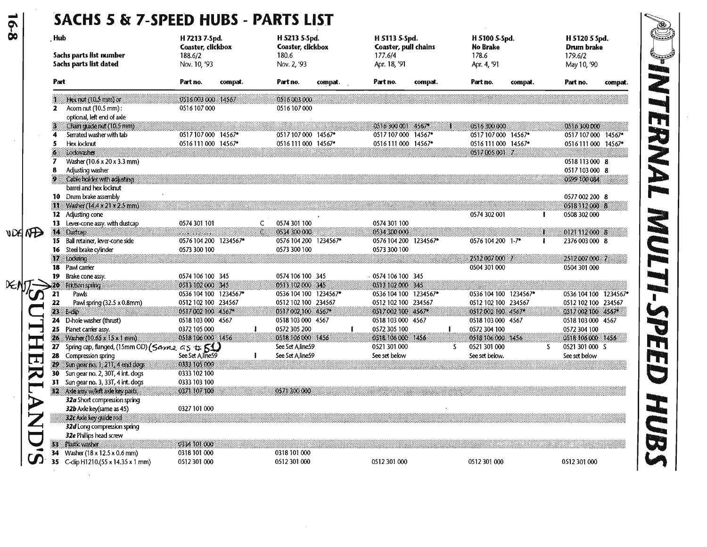#### **SACHS 5 & 7-SPEED HUBS - PARTS LIST**

| T.<br>$\overline{0}$ |                | Hub<br>Sachs parts list number<br>Sachs parts list dated                                                                                         | H 7213 7 Spd.<br>Coaster, clickbox<br>188.6/2<br>Nov. 10, '93                      |              | H 5213 5-Spd.<br>Coaster, clickbox<br>180.6<br>Nov. 2, '93                            |         | H 5113 5-Spd.<br><b>Coaster, pull chains</b><br>177.6/4<br>Apr. 18, '91              |         | H 5100 5-Spd.<br>No Brake<br>178.6<br>Apr. 4, '91                         |              | H 5120 5 Spd.<br>Drum brake<br>179.6/2<br>May 10, '90            |         |
|----------------------|----------------|--------------------------------------------------------------------------------------------------------------------------------------------------|------------------------------------------------------------------------------------|--------------|---------------------------------------------------------------------------------------|---------|--------------------------------------------------------------------------------------|---------|---------------------------------------------------------------------------|--------------|------------------------------------------------------------------|---------|
|                      |                | Part                                                                                                                                             | Part no.<br>compat.                                                                |              | Part no.                                                                              | compat. | Part no.                                                                             | compat. | Part no.                                                                  | compat.      | Part no.                                                         | compat. |
|                      |                | Hexnut (10.5 mm) or<br>Acom nut (10.5 mm):<br>2<br>optional, left end of axle                                                                    | 0516003000 14567<br>0516 107 000                                                   |              | 0516003000<br>0516 107 000                                                            |         |                                                                                      |         |                                                                           |              |                                                                  |         |
|                      |                | Chan quide not (10.5 mm)<br>4<br>Serrated washer with tab<br>5<br>Hex locknut<br>Lockwasher                                                      | 0517 107 000 14567*<br>0516 111 000 14567*                                         |              | 0517 107 000 14567*<br>0516 111 000 14567*                                            |         | 0516300 001 4567*<br>0517 107 000 14567*<br>0516 111 000 14567*                      |         | 0516300000<br>0517 107 000 14567*<br>0516 111 000 14567*<br>0517005.001 7 |              | 0516300000<br>0517 107 000 14567*<br>0516 111 000 14567*         |         |
|                      |                | Washer (10.6 x 20 x 3.3 mm)<br>$\overline{\mathbf{z}}$<br>8<br>Adjusting washer<br>Cable holder with adjusting<br>barrel and hex locknut         |                                                                                    |              |                                                                                       |         |                                                                                      |         |                                                                           |              | 0518 113 000 8<br>0517 103 000 8<br>0599100084                   |         |
|                      |                | <b>10</b> Drum brake assembly<br>11 Washer (14.4 x 21 x 2.5 mm)<br><b>12</b> Adjusting cone<br>13 Lever-cone assy. with dustcap                  | 0574 301 101                                                                       | $\mathsf{C}$ | 0574 301 100                                                                          |         | 0574 301 100                                                                         |         | 0574 302 001                                                              | H.           | 0577 002 200 8<br>051811200018<br>0508 302 000                   |         |
|                      | <b>VDE NHA</b> | 14 Dustrap<br>15 Ball retainer, lever-cone side<br>16 Steel brake cylinder                                                                       | .<br>0576 104 200 1234567*<br>0573 300 100                                         | $\mathsf{C}$ | 0534300000<br>0576 104 200 1234567*<br>0573 300 100                                   |         | 0534300000<br>0576 104 200 1234567*<br>0573 300 100                                  |         | 0576 104 200 1-7*                                                         | T<br>Ι.      | 0121 112 000 B<br>2376 003 000 8                                 |         |
| rn                   |                | 12. Locking<br><b>18</b> Pawl carrier<br>19 Brake cone assy.                                                                                     | 0574 106 100 345                                                                   |              | 0574 106 100 345                                                                      |         | 0574 106 100 345                                                                     |         | 2512 007 000 1<br>0504 301 000                                            |              | 2512002000 7<br>0504 301 000                                     |         |
|                      |                | <b>Fictionsping</b><br>21<br>Pawls<br>22<br>Pawl spring (32.5 x 0.8mm)<br>71,<br>1.46                                                            | 0513102000 345<br>0536 104 100 1234567*<br>0512 102 100 234567<br>0517002100-4567* |              | 0513 102 000 345<br>0536 104 100 1234567*<br>0512 102 100 234567<br>0517-002100 4567* |         | 0513 102 000 345<br>0536 104 100 12345 67*<br>0512 102 100 234567<br>0517002100 4567 |         | 0536 104 100 1234567*<br>0512 102 100 234567<br>0517002100 4567*          |              | 0536 104 100 1234567*<br>0512 102 100 234567<br>0512002100 4567* |         |
|                      |                | 24 D-hole washer (thrust)<br>25 Planet carrier assy.<br>26.<br>Washer $(10.65 \times 15 \times 1 \text{ mm})$                                    | 0518 103 000 4567<br>0372 105 000<br>9918106.000 1436                              |              | 0518 103 000 4567<br>0572 305 200<br>0518106000 1456                                  | -1      | 0518 103 000 4567<br>0572 305 100<br>0518-106-000 1456                               |         | 0518 103 000 4567<br>0572 304 100<br>0518306000 3456                      |              | 0518 103 000 4567<br>0572 304 100<br>0518 106 000 1456           |         |
|                      | <b>U</b>       | 27<br>Spring cap, flanged, (15mm OD) (Saym2 GS + 55<br>28<br>Compression spring<br>22.<br>Sun gear no. 1, 211, 4 end dory                        | See Set A, line59<br>0333 105 000                                                  |              | See Set A, line 59<br>See Set A, line 59                                              |         | 0521 301 000<br>See set below                                                        | S.      | 0521 301 000<br>See set below.                                            | <sup>S</sup> | 0521 301 000 S<br>See set below                                  |         |
|                      |                | 30 Sun gear no. 2, 30T, 4 int. dogs<br>31 Sun gear no. 3, 33T, 4 int. dogs<br>32 Axle assy wileft axle key parts<br>32a Short compression spring | 0333 102 100<br>0333 103 100<br>0371107100                                         |              | 0521:300.000                                                                          |         |                                                                                      |         |                                                                           |              |                                                                  |         |
|                      |                | 32b Axle key(same as 45)<br>32c Mekey quide rod<br>32d Long compression spring<br>32e Phillips head screw                                        | 0327 101 000                                                                       |              |                                                                                       |         |                                                                                      |         |                                                                           |              |                                                                  |         |
|                      |                | 33 Plastic washer                                                                                                                                | 6334 101 000                                                                       |              |                                                                                       |         |                                                                                      |         |                                                                           |              |                                                                  |         |
|                      |                | 34 Washer (18 x 12.5 x 0.6 mm)<br>35<br>C-dip H1210.(55 x 14.35 x 1 mm)                                                                          | 0318 101 000<br>0512 301 000                                                       |              | 0318 101 000<br>0512 301 000                                                          |         | 0512 301 000                                                                         |         | 0512 301 000                                                              |              | 0512 301 000                                                     |         |

**PINTERNAL MULTI-SPEED HUBS** 

... <u>გ.</u><br>დ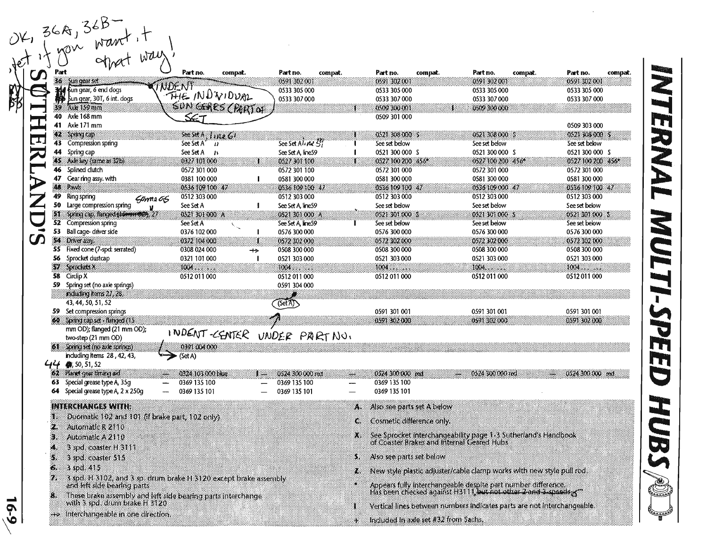| OK, $36R, 36B$<br>Net it now want, t                                                                                                                                                                                                 |                                              |               |                                     |       |                                                                                                                                                                                                                        |                                   |                                   |
|--------------------------------------------------------------------------------------------------------------------------------------------------------------------------------------------------------------------------------------|----------------------------------------------|---------------|-------------------------------------|-------|------------------------------------------------------------------------------------------------------------------------------------------------------------------------------------------------------------------------|-----------------------------------|-----------------------------------|
| Part<br>Sun gear set                                                                                                                                                                                                                 | Part no.<br>compat.                          |               | Part no.<br>compat.<br>0591302001   |       | Part no.<br>compat.<br>0591302001                                                                                                                                                                                      | Part no.<br>compat.<br>0591302001 | Part no.<br>compat.<br>0591302001 |
| <b>Sun gear, 6 end dogs</b><br>as pun gear, o ena dogs<br><b>Po</b> pun gear, 30T, 6 int. dogs                                                                                                                                       | <b>NDENT</b><br>THE INDEVIDUAL               |               | 0533 305 000                        |       | 0533 305 000                                                                                                                                                                                                           | 0533 305 000                      | 0533 305 000                      |
| kundin<br>89.                                                                                                                                                                                                                        | SYN SAR CRAITING                             |               | 0533 307 000                        |       | 0533 307 000<br>0509 300 001                                                                                                                                                                                           | 0533 307 000                      | 0533 307 000                      |
| 40 Axle 168 mm                                                                                                                                                                                                                       | <b>SET</b>                                   |               |                                     |       | 0509 301 000                                                                                                                                                                                                           | 0509 300 000                      |                                   |
| 41 Axle 171 mm                                                                                                                                                                                                                       |                                              |               |                                     |       |                                                                                                                                                                                                                        |                                   | 0509 303 000                      |
| 42 Sping cap<br>43 Compression spring                                                                                                                                                                                                | 34130   1 <i>102 (n</i> .<br>See Set $A'$ 11 |               | See Set Aline 39                    |       | 0521 308 000 \$<br>See set below                                                                                                                                                                                       | 0521 308 000 \$<br>See set below  | 0521308000 \$<br>See set below    |
| 44 Spring cap                                                                                                                                                                                                                        | See Set A b                                  |               | See Set A, line59                   |       | 0521 300 000 S                                                                                                                                                                                                         | 0521 300 000 S                    | 0521 300 000 S                    |
| AS Aleks (sine a 32b)                                                                                                                                                                                                                | 0327 101 000                                 |               | 0527301400                          |       | 0527 100 200 456*                                                                                                                                                                                                      | 0527 100 200 456*                 | 0522100200-455*                   |
| 46 Splined clutch<br>47 Gear ring assy. with                                                                                                                                                                                         | 0572 301 000<br>0381 100 000                 |               | 0572 301 100<br>0581 300 000        |       | 0572 301 000<br>0581 300 000                                                                                                                                                                                           | 0572 301 000<br>0581 300 000      | 0572 301 000<br>0581 300 000      |
| AB Pavis                                                                                                                                                                                                                             | 0536 109 100 A7                              |               | 0536 109 100 47                     |       | 0536109100 47                                                                                                                                                                                                          | 0536109000 42                     | 0536109100-47                     |
| <b>Ring spring</b><br>49<br>Gome GS                                                                                                                                                                                                  | 0512 303 000                                 |               | 0512 303 000                        |       | 0512 303 000                                                                                                                                                                                                           | 0512 303 000                      | 0512 303 000                      |
| Large compression spring<br>50<br>Sping cap fanged (Lorentzen) 27<br>68                                                                                                                                                              | See Set A<br>0521 301 000 A                  |               | See Set A, line59<br>0521 301 000 A |       | See set below<br>0521 301 000 5                                                                                                                                                                                        | See set below<br>0521 301 000 \$  | See set below<br>0521301000 5     |
| 52 Compression spring                                                                                                                                                                                                                | See Set A                                    |               | See Set A, line59                   |       | See set below                                                                                                                                                                                                          | See set below                     | See set below                     |
| 53 Ball cage-driver side                                                                                                                                                                                                             | 0376 102 000                                 |               | 0576 300 000                        |       | 0576 300 000                                                                                                                                                                                                           | 0576 300 000                      | 0576 300 000                      |
| 54.<br>Driver assy.<br>Fixed cone (7-spd: serrated)<br>55                                                                                                                                                                            | 0372 104 000<br>0308 024 000                 |               | 0572 302 000<br>0508 300 000        |       | 0572302000<br>0508 300 000                                                                                                                                                                                             | 0572.302.000<br>0508 300 000      | 0572302000<br>0508 300 000        |
| Sprocket dustcap<br>56                                                                                                                                                                                                               | 0321 101 000                                 | $\rightarrow$ | 0521 303 000                        |       | 0521 303 000                                                                                                                                                                                                           | 0521 303 000                      | 0521 303 000                      |
| 37<br><b>Sprockets X</b>                                                                                                                                                                                                             | 1004                                         |               | 1004.                               |       | 1004                                                                                                                                                                                                                   |                                   | 1004                              |
| 58<br>Circlip X<br>Spring set (no axle springs)<br>59                                                                                                                                                                                | 0512 011 000                                 |               | 0512 011 000<br>0591 304 000        |       | 0512 011 000                                                                                                                                                                                                           | 0512 011 000                      | 0512011000                        |
| ndiding form 21, 28.                                                                                                                                                                                                                 |                                              |               |                                     |       |                                                                                                                                                                                                                        |                                   |                                   |
| 43, 44, 50, 51, 52                                                                                                                                                                                                                   |                                              |               | (Set A)                             |       |                                                                                                                                                                                                                        |                                   |                                   |
| 59 Set compression springs                                                                                                                                                                                                           |                                              |               |                                     |       | 0591 301 001<br>0591302000                                                                                                                                                                                             | 0591 301 001<br>0591302000        | 0591 301 001<br>0591302000        |
|                                                                                                                                                                                                                                      |                                              |               |                                     |       |                                                                                                                                                                                                                        |                                   |                                   |
| Spring cap set + flanged (13)<br>mm OD); flanged (21 mm OD);                                                                                                                                                                         |                                              |               |                                     |       |                                                                                                                                                                                                                        |                                   |                                   |
| two-step (21 mm OD)                                                                                                                                                                                                                  |                                              |               | INDENT-CENTER UNDER PART NO.        |       |                                                                                                                                                                                                                        |                                   |                                   |
| induding items 28, 42, 43,                                                                                                                                                                                                           | 0391.004.000<br>(Set A)                      |               |                                     |       |                                                                                                                                                                                                                        |                                   |                                   |
|                                                                                                                                                                                                                                      |                                              |               |                                     |       |                                                                                                                                                                                                                        |                                   |                                   |
| Planet gear through aid<br>Special grease type A, 35g                                                                                                                                                                                | 0324 103 000 blue<br>0369 135 100            |               | 0524 300 000 red<br>0369 135 100    |       | 0524 300 000 red<br>0369 135 100                                                                                                                                                                                       | 0524 300 000 ted                  | 0524300.000 red                   |
| Special grease type A, 2 x 250g                                                                                                                                                                                                      | 0369 135 101<br>-                            |               | 0369 135 101                        |       | 0369 135 101                                                                                                                                                                                                           |                                   |                                   |
|                                                                                                                                                                                                                                      |                                              |               |                                     | 7. 8. | Also see parts set A below                                                                                                                                                                                             |                                   |                                   |
| Duomatic 102 and 101 of brake part, 102 only).                                                                                                                                                                                       |                                              |               |                                     |       |                                                                                                                                                                                                                        |                                   |                                   |
| Automale R 2110                                                                                                                                                                                                                      |                                              |               |                                     | œ     | Cosmetic difference only.                                                                                                                                                                                              |                                   |                                   |
| Automatic A 2110                                                                                                                                                                                                                     |                                              |               |                                     | W.    | See Sprocket interchangeability page 1-3 Sutherland's Handbook<br>of Coaster Brakes and Internal Geared Hubs                                                                                                           |                                   |                                   |
| 3 spd coaster H 3111                                                                                                                                                                                                                 |                                              |               |                                     |       |                                                                                                                                                                                                                        |                                   |                                   |
| 3 spd. coaster \$15<br>3 spd. 415                                                                                                                                                                                                    |                                              |               |                                     | 578   | Also see parts set below                                                                                                                                                                                               |                                   |                                   |
| 3 spd. H 3102, and 3 sp. drum brake H 3120 except brake assembly                                                                                                                                                                     |                                              |               |                                     | 148   | New style plastic adjuster/cable clamp works with new style pull rod.                                                                                                                                                  |                                   |                                   |
| and left side bearing parts                                                                                                                                                                                                          |                                              |               |                                     |       |                                                                                                                                                                                                                        |                                   |                                   |
| 61 Spring set (no axle springs)<br>$44$ (0, 50, 51, 52<br>52<br>63<br>64<br><b>INTERCHANGES WITH</b><br>Z.<br>K)<br>5.<br>ь.<br>78<br>These brake assembly and left side bearing parts interchange.<br>with 3 spd. drum brake H 3120 |                                              |               |                                     |       | Appears fully interchangeable despite part number difference.<br>Has been checked against H3111, but not other 2 and 3 speakle <sub>d</sub><br>Vertical lines between numbers indicates parts are not interchangeable. |                                   |                                   |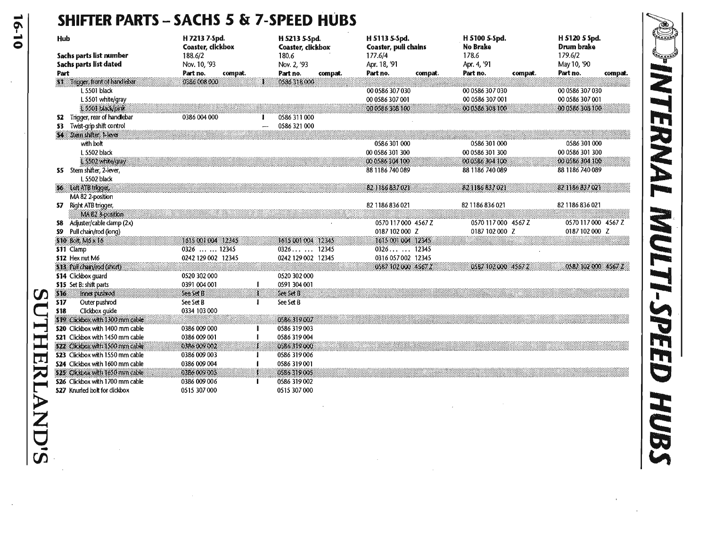### **SHIFTER PARTS - SACHS 5 & 7-SPEED HOBS**

|            | Hub<br>Sachs parts list number<br>Sachs parts list dated             | H 7213 7-Spd.<br>Coaster, clickbox<br>188.6/2<br>Nov. 10, '93 | H 5213 5-Spd.<br>Coaster, clickbox<br>180.6<br>Nov. 2, '93 | H 5113 5-Spd.<br>Coaster, pull chains<br>177.6/4<br>Apr. 18, '91 | H 5100 5-Spd.<br>No Brake<br>178.6<br>Apr. 4, '91 | H 5120 5 Spd.<br>Drum brake<br>179.6/2<br>May 10, '90 |
|------------|----------------------------------------------------------------------|---------------------------------------------------------------|------------------------------------------------------------|------------------------------------------------------------------|---------------------------------------------------|-------------------------------------------------------|
|            | Part                                                                 | Part no.<br>compat.                                           | Part no.<br>compat.                                        | Part no.<br>compat.                                              | Part no.<br>compat.                               | Part no.<br>compat.                                   |
| W.         | Togger front of handlebar                                            | 0386 008 000                                                  | 0586318000                                                 |                                                                  |                                                   |                                                       |
|            | L 5501 black                                                         |                                                               |                                                            | 00 0586 307 030                                                  | 00 0586 307 030                                   | 00 0586 307 030                                       |
|            | L5501 white/gray                                                     |                                                               |                                                            | 00 0586 307 001                                                  | 00 0586 307 001                                   | 00 0586 307 001                                       |
|            | 1.5501 black pank                                                    |                                                               |                                                            | 000586308100                                                     | 000586308100                                      | 00 0586 308 100                                       |
|            | \$2 Trigger, rear of handlebar                                       | 0386 004 000                                                  | 0586 311 000                                               |                                                                  |                                                   |                                                       |
| S3         | Twist-grip shift control                                             |                                                               | 0586 321 000                                               |                                                                  |                                                   |                                                       |
|            | <b>Systematical con-</b>                                             |                                                               |                                                            |                                                                  |                                                   |                                                       |
|            | with bolt                                                            |                                                               |                                                            | 0586 301 000                                                     | 0586 301 000                                      | 0586 301 000                                          |
|            | L 5502 black<br>L5502 white/gray                                     |                                                               |                                                            | 00 0586 301 300<br>00 0586 304 100                               | 00 0586 301 300<br>00 0586 304 100                | 00 0586 301 300<br>00 0586 304 100                    |
|            | S5 Stem shifter, 2-lever,                                            |                                                               |                                                            | 88 1186 740 089                                                  | 88 1186 740 089                                   | 88 1186 740 089                                       |
|            | L 5502 black                                                         |                                                               |                                                            |                                                                  |                                                   |                                                       |
|            | 56 teltAlB trigge.                                                   |                                                               |                                                            | 82 1186 837 021                                                  | 82 1186 832 021                                   | 821186837021                                          |
|            | MA 82 2-position                                                     |                                                               |                                                            |                                                                  |                                                   |                                                       |
|            | <b>S7</b> Right ATB trigger,                                         |                                                               |                                                            | 82 1186 836 021                                                  | 82 1186 836 021                                   | 82 1186 836 021                                       |
|            | M8-82-3-position                                                     |                                                               |                                                            |                                                                  |                                                   |                                                       |
| 58         | Adjuster/cable damp (2x)                                             |                                                               |                                                            | 0570 117 000 4567 Z                                              | 0570 117 000 4567 Z                               | 0570 117 000 4567 Z                                   |
| S9         | Pull chain/rod (long)                                                |                                                               |                                                            | 0187 102 000 Z                                                   | 0187 102 000 Z                                    | 0187 102 000 Z                                        |
|            | 510 Bolt M6x16                                                       | 1615-001-004 12345                                            | 1615.001.004 12345                                         | 1615 001 004 12345                                               |                                                   |                                                       |
|            | \$11 Clamp                                                           | $0326$ 12345                                                  | $0326$ 12345                                               | $0326$ 12345                                                     |                                                   |                                                       |
|            | \$12 Hex nut M6                                                      | 0242 129 002 12345                                            | 0242 129 002 12345                                         | 0316 057 002 12345                                               |                                                   |                                                       |
|            | \$13 Pull chan/rod (short)                                           |                                                               |                                                            | 0587 102 000 4567 4                                              | 0587 102 000 4567 2                               | 0582102.000.4567.2                                    |
|            | \$14 Clickbox quard                                                  | 0520 302 000                                                  | 0520 302 000                                               |                                                                  |                                                   |                                                       |
|            | \$15 Set B: shift parts                                              | 0391 004 001                                                  | 0591 304 001                                               |                                                                  |                                                   |                                                       |
| 516        | light push od                                                        | r<br>See Set B                                                | See Set B                                                  |                                                                  |                                                   |                                                       |
| <b>S17</b> | Outer pushrod                                                        | See Set B                                                     | See Set B                                                  |                                                                  |                                                   |                                                       |
| <b>S18</b> | Clickbox quide                                                       | 0334 103 000                                                  |                                                            |                                                                  |                                                   |                                                       |
|            | \$49 Clickbox with 1300 mm cable                                     |                                                               | 0586319007                                                 |                                                                  |                                                   |                                                       |
|            | \$20 Clickbox with 1400 mm cable                                     | 0386 009 000                                                  | 0586 319 003                                               |                                                                  |                                                   |                                                       |
|            | \$21 Clickbox with 1450 mm cable                                     | 0386 009 001                                                  | 0586 319 004                                               |                                                                  |                                                   |                                                       |
|            | \$22 Clobox with 1500 mm cable                                       | 0386 009 002                                                  | 0586319000                                                 |                                                                  |                                                   |                                                       |
| Œ          | \$23 Clickbox with 1550 mm cable<br>\$24 Clickbox with 1600 mm cable | 0386 009 003                                                  | 0586 319 006                                               |                                                                  |                                                   |                                                       |
|            | \$25 Clobox with 1650 mm cable                                       | 0386 009 004<br>0386 009 005                                  | 0586 319 001<br>0586319005                                 |                                                                  |                                                   |                                                       |
|            | \$26 Clickbox with 1700 mm cable                                     | 0386 009 006                                                  | 0586 319 002                                               |                                                                  |                                                   |                                                       |
|            | 527 Knurled bolt for dickbox                                         | 0515 307 000                                                  | 0515 307 000                                               |                                                                  |                                                   |                                                       |
|            |                                                                      |                                                               |                                                            |                                                                  |                                                   |                                                       |

...  $\mathbf{6}$  - 1 o

**PINTERNAL MULTI-SPEED HUBS**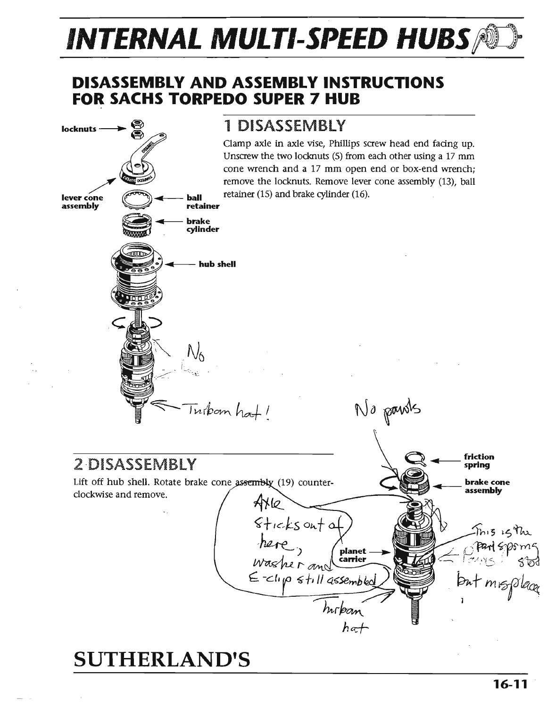#### **DISASSEMBLY AND ASSEMBLY INSTRUCTIONS FOR SACHS TORPEDO SUPER 7 HUB**



 $\frac{2}{3}$ <br>here<br>washer and

 $\epsilon$ -clip still assemble

**locknuts** • • • • 1 **DISASSEMBLY**<br>
Clamp axle in axle vise, Phillips screw head end facing up.<br>
Unscrew the two locknuts (5) from each other using a 17 mm Unscrew the two locknuts (5) from each other using a 17 mm cone wrench and a 17 mm open end or box-end wrench; remove the locknuts. Remove lever cone assembly (13), ball **lever cone**  $\left(\begin{matrix} 0 & 0 \\ 0 & 1 \end{matrix}\right)$  **a l**-ball **retainer** (15) and brake cylinder (16).

No paroks

planet carrier

hirban

 $h$ a f

2 "DISASSEMBLY -4-- **friction** 

**dever cone**  $\left(\begin{matrix} \sigma & \sigma & \sigma \\ \sigma & \sigma & \sigma \end{matrix}\right)$  **a retainer** 

Lift off hub shell. Rotate brake cone  $a$ ssembly  $(19)$  counterclockwise and remove.

Turkom hat 1

'" - ,. ' -::. .... . ~.

~... **brake**  " **cylinder** 

hub shell

### **SUTHERLAND'S**

**spring** 

~\_ **brake cone assembly** 

 $Pn \nabla m$  $S$ 

 $5.5$  ig the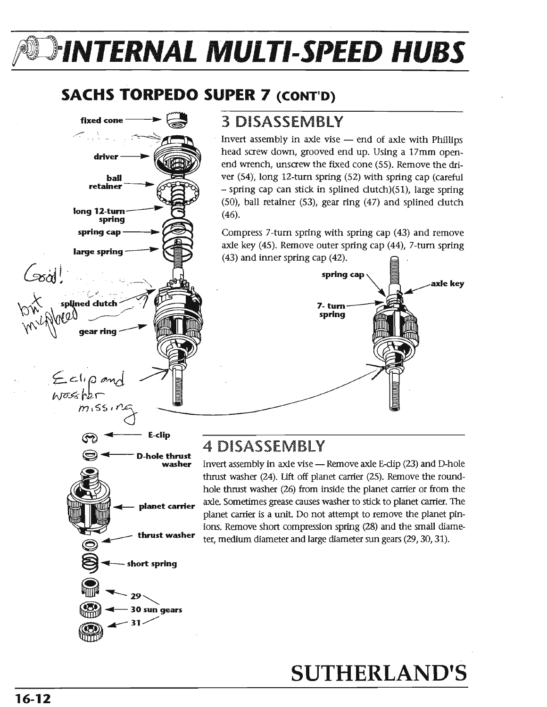### **SACHS TORPEDO SUPER 7 (CONT'D)**

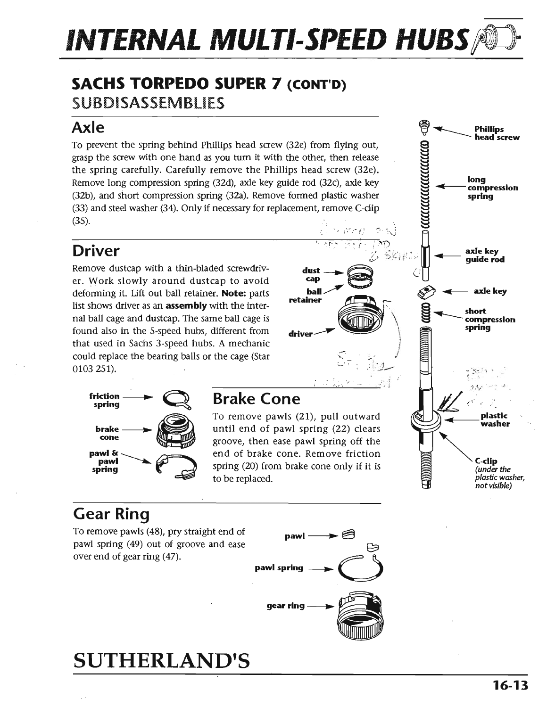### **SACHS TORPEDO SUPER 7 (CONT'D)**  SUBDISASSEMBllES

#### **Axle**

To prevent the spring behind Phillips head screw (32e) from flying out, grasp the screw with one hand as you tum it with the other, then release the spring carefully. Carefully remove the Phillips head screw (32e). Remove long compression spring (32d), axle key guide rod (32c), axle key (32b), and short compression spring (32a). Remove formed plastic washer (33) and steel washer (34). Only if necessary for replacement, remove C-clip (35).

### **Driver**

Remove dustcap with a thin-bladed screwdriver. Work slowly around dustcap to avoid deforming it. Lift out ball retainer. **Note:** parts list shows driver as an **assembly** with the internal ball cage and dustcap. The same ball cage is found also in the 5-speed hubs, different from that used in Sachs 3-speed hubs. A mechanic could replace the bearing balls or the cage (Star 0103251).



#### **Brake Cone**

To remove pawls (21), pull outward until end of pawl spring (22) clears groove, then ease pawl spring off the end of brake cone. Remove friction spring (20) from brake cone only if it is to be replaced.

: 11 T

- . '/



~~ **Phillips** 

**head screw** 

### **Gear Ring**

To remove pawls (48), pry straight end of pawl spring (49) out of groove and ease over end of gear ring (47).

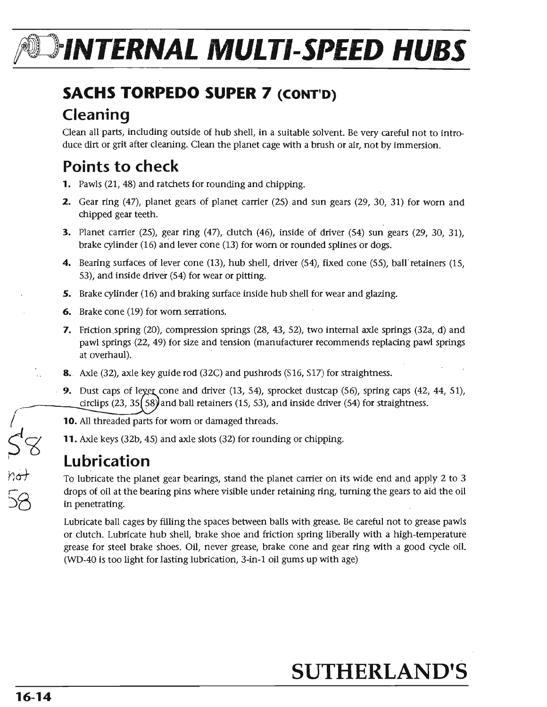### **SACHS TORPEDO SUPER 7 (CONT'D)**

### **Cleaning**

Clean all parts, including outside of hub shell, in a suitable solvent. Be very careful not to introduce dirt or grit after cleaning. Clean the planet cage with a brush or air, not by immersion.

### **Points to check**

- **1.** Pawls (21, 48) and ratchets for rounding and chipping.
- **2.** Gear ring (47), planet gears of planet carrier (25) and sun gears (29, 30, 31) for worn and chipped gear teeth.
- **3.** Planet carrier (25), gear ring (47), dutch (46), inside of driver (54) sun gears (29, 30, 31), brake cylinder (16) and lever cone (13) for worn or rounded splines or dogs.
- **4.** Bearing surfaces of lever cone (13), hub shell, driver (54), fixed cone (55), ball"retainers (15, 53), and inside driver (54) for wear or pitting.
- **5.** Brake cylinder (16) and braking surface inside hub shell for wear and glazing.
- **6.** Brake cone (19) for worn serrations.
- **7.** Friction,spring (20), compression springs (28, 43, 52), two internal axle springs (32a, d) and pawl springs (22, 49) for size and tension (manufacturer recommends replacing pawl springs at overhaul).
- 8. Axle (32), axle key guide rod (32C) and pushrods (S16, S17) for straightness.
- **9.** Dust caps of lever cone and driver  $(13, 54)$ , sprocket dustcap  $(56)$ , spring caps  $(42, 44, 51)$ , circlips (23, 35  $\left[$  58) and ball retainers (15, 53), and inside driver (54) for straightness.

**10.** All threaded parts for worn or damaged threads.

**11.** Axle keys (32b, 45) and axle slots (32) for rounding or chipping.

### **Lubrication**

To lubricate the planet gear bearings, stand the planet carrier on its wide end and apply 2 to 3 drops of oil at the bearing pins where visible under retaining ring, turning the gears to aid the oil in penetrating.

Lubricate ball cages by filling the spaces between balls with grease. Be careful not to grease pawls or clutch. Lubricate hub shell, brake shoe and friction spring liberally with a high-temperature grease for steel brake shoes. Oil, never grease, brake cone and gear ring with a good cycle oil. (WD-40 is too light for lasting lubrication, 3-in-1 oil gums up with age)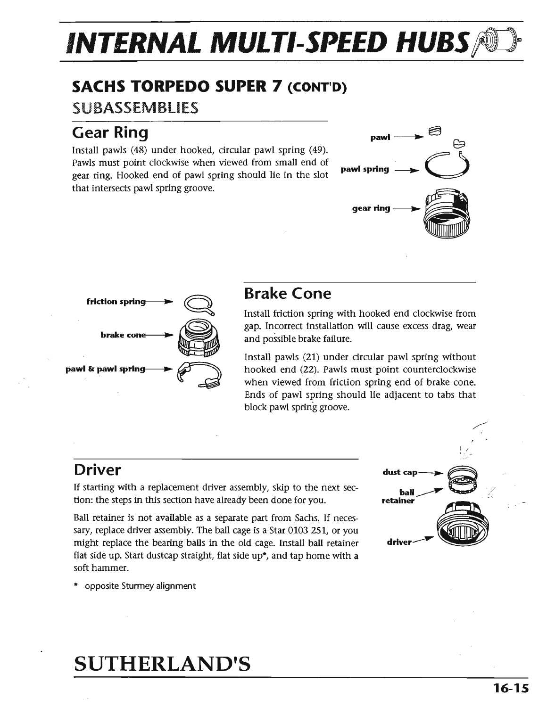### **SACHS TORPEDO SUPER 7 (CONT'D)**

SUBASSEMBLIES

**Gear Ring Pawl <b>CONS** 

Install pawls (48) under hooked, drcular pawl spring (49). Pawls must point clockwise when viewed from small end of gear ring. Hooked end of pawl spring should lie in the slot that intersects pawl spring groove.





#### **Brake Cone**

Install friction spring with hooked end clockwise from gap. Incorrect installation will cause excess drag, wear and possible brake failure.

Install pawls (21) under drcular pawl spring without hooked end (22). Pawls must point counterclockwise when viewed from friction spring end of brake cone. Ends of pawl spring should lie adjacent to tabs that block pawl spring groove.

If starting with a replacement driver assembly, skip to the next section: the steps in this section have already been done for you.

Ball retainer is not available as a separate part from Sachs. If necessary, replace driver assembly. The ball cage is a Star 0103 251, or you might replace the bearing balls in the old cage. Install ball retainer flat side up. Start dustcap straight, flat side up\*, and tap home with a soft hammer.



opposite Sturmey alignment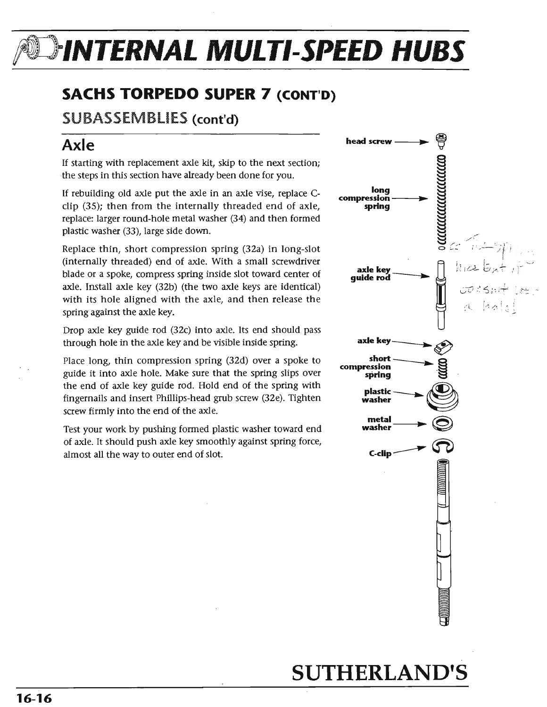### **SACHS TORPEDO SUPER 7 (CONT'D)**

#### SUBASSEMBLIES (cont'd)

### **Axle**

If starting with replacement axle kit, skip to the next section; the steps in this section have already been done for you.

It rebuilding old axle put the axle in an axle vise, replace Cclip (35); then from the internally threaded end of axle, replace: larger round-hole metal washer (34) and then formed plastic washer (33), large side down.

Replace thin, short compression spring (32a) in long-slot (internally threaded) end of axle. With a small screwdriver blade or a spoke, compress spring inside slot toward center of axle. Install axle key (32b) (the two axle keys are identical) with its hole aligned with the axle, and then release the spring against the axle key.

Drop axle key guide rod (32c) into axle. Its end should pass through hole in the axle key and be visible inside spring.

Place long, thin compression spring (32d) over a spoke to guide it into axle hole. Make sure that the spring slips over the end of axle key guide rod. Hold end of the spring with fingernails and insert Phillips-head grub screw (32e). Tighten screw firmly into the end of the axle.

Test your work by pushing formed plastic washer toward end of axle. It should push axle key smoothly against spring force, almost all the way to outer end of slot.

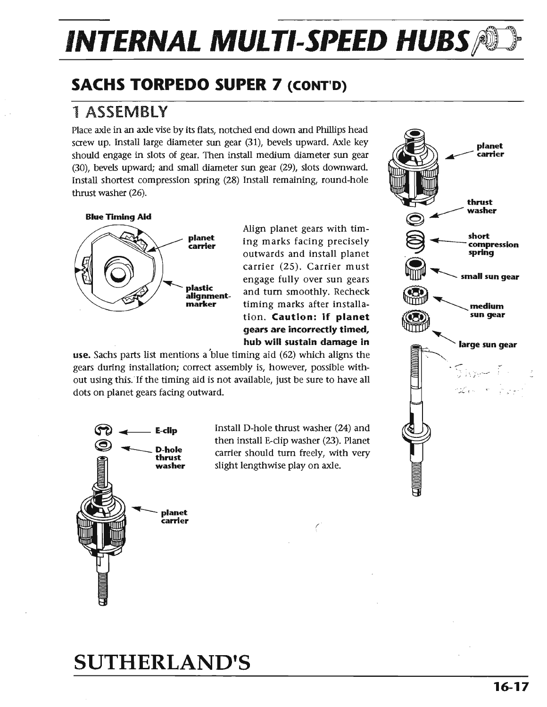### SACHS TORPEDO SUPER 7 (CONT'D)

#### 1 ASSEMBLY

Place axle in an axle vise by its fiats, notched end down and Phillips head screw up. Install large diameter sun gear (31), bevels upward. Axle key should engage in slots of gear. Then install medium diameter sun gear (30), bevels upward; and small diameter sun gear (29), slots downward. Install shortest compression spring (28) Install remaining, round-hole thrust washer (26).





Align planet gears with timing marks facing precisely outwards and install planet carrier (25). Carrier must engage fully over sun gears and turn smoothly. Recheck timing marks after installation. Caution: if planet gears are incorrectly timed, hub will sustain damage in

use. Sachs parts list mentions a 'blue timing aid (62) which aligns the gears during installation; correct assembly is, however, possible without using this. If the timing aid is not available, just be sure to have all dots on planet gears facing outward.



Install D-hole thrust washer (24) and then install E-dip washer (23). Planet carrier should tum freely, with very slight lengthwise play on axle.

> ('  $\epsilon$

### .<br>carrier thrust washer short<br>compression<br>spring small sun gear ~~medlum sun gear large sun gear  $\cdot$  5 have 1  $\cdot$

planet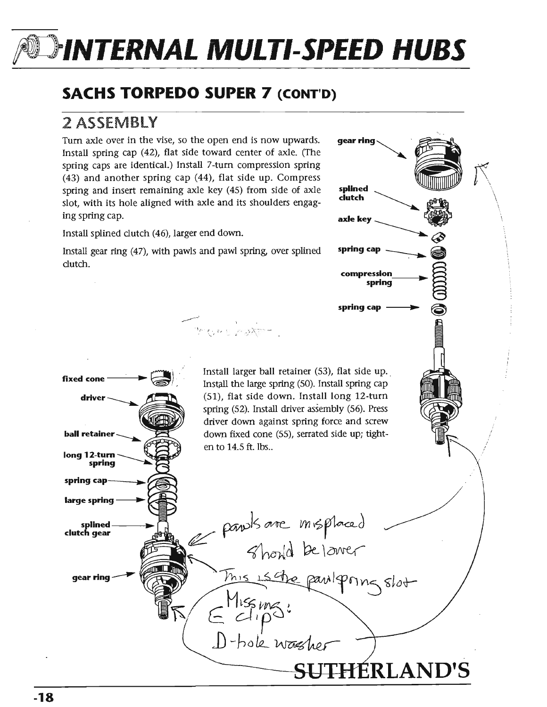### **SACHS TORPEDO SUPER 7 (CONT'D)**

### 2 ASSEMBLY

fixed cone

driver

**ball retainer** 

long 12-turn spring

spring cap

large spring

**spllned clutch gear** 

gear ring

Tum axle over in the vise, so the open end is now upwards. Install spring cap (42), flat side toward center of axle. (The spring caps are identical.) Install 7-tum compression spring (43) and another spring cap (44), flat side up. Compress spring and insert remaining axle key (45) from side of axle

c::::|

Install gear ring (47), with pawls and pawl spring, over splined dutch.